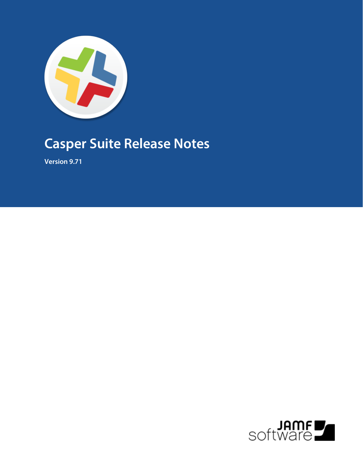

# **Casper Suite Release Notes**

**Version 9.71**

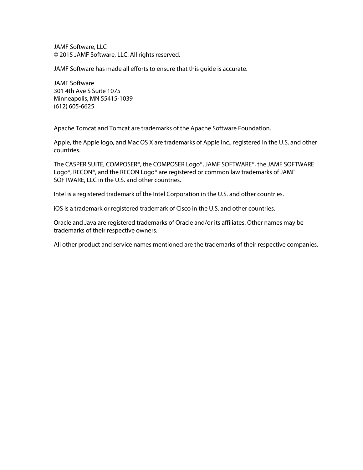JAMF Software, LLC © 2015 JAMF Software, LLC. All rights reserved.

JAMF Software has made all efforts to ensure that this guide is accurate.

JAMF Software 301 4th Ave S Suite 1075 Minneapolis, MN 55415-1039 (612) 605-6625

Apache Tomcat and Tomcat are trademarks of the Apache Software Foundation.

Apple, the Apple logo, and Mac OS X are trademarks of Apple Inc., registered in the U.S. and other countries.

The CASPER SUITE, COMPOSER®, the COMPOSER Logo®, JAMF SOFTWARE®, the JAMF SOFTWARE Logo®, RECON®, and the RECON Logo® are registered or common law trademarks of JAMF SOFTWARE, LLC in the U.S. and other countries.

Intel is a registered trademark of the Intel Corporation in the U.S. and other countries.

iOS is a trademark or registered trademark of Cisco in the U.S. and other countries.

Oracle and Java are registered trademarks of Oracle and/or its affiliates. Other names may be trademarks of their respective owners.

All other product and service names mentioned are the trademarks of their respective companies.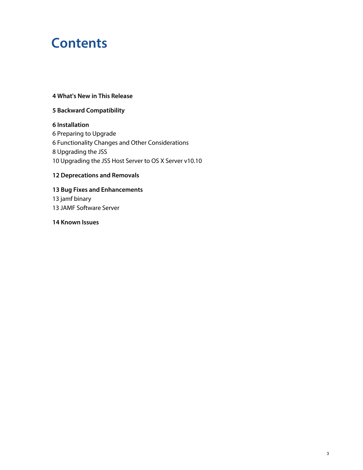## **Contents**

#### **[What's New in This Release](#page-3-0)**

#### **[Backward Compatibility](#page-4-0)**

 **[Installation](#page-5-0)** [Preparing to Upgrade](#page-5-1) [Functionality Changes and Other Considerations](#page-5-2)

 [Upgrading the JSS](#page-7-0) [Upgrading the JSS Host Server to OS X Server v10.10](#page-9-0)

#### **[Deprecations and Removals](#page-11-0)**

**[Bug Fixes and Enhancements](#page-12-0)**

 [jamf binary](#page-12-1) [JAMF Software Server](#page-12-2)

**[Known Issues](#page-13-0)**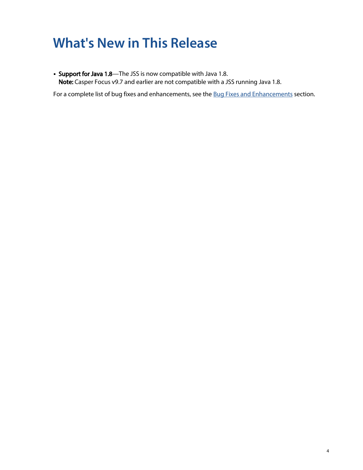## <span id="page-3-0"></span>**What's New in This Release**

**Support for Java 1.8**—The JSS is now compatible with Java 1.8. Note: Casper Focus v9.7 and earlier are not compatible with a JSS running Java 1.8.

For a complete list of bug fixes and enhancements, see the **Bug Fixes and Enhancements** section.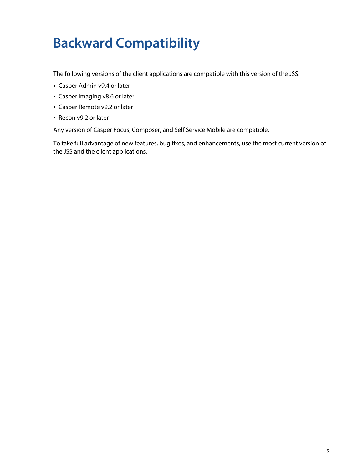# <span id="page-4-0"></span>**Backward Compatibility**

The following versions of the client applications are compatible with this version of the JSS:

- Casper Admin v9.4 or later
- Casper Imaging v8.6 or later
- Casper Remote v9.2 or later
- Recon v9.2 or later

Any version of Casper Focus, Composer, and Self Service Mobile are compatible.

To take full advantage of new features, bug fixes, and enhancements, use the most current version of the JSS and the client applications.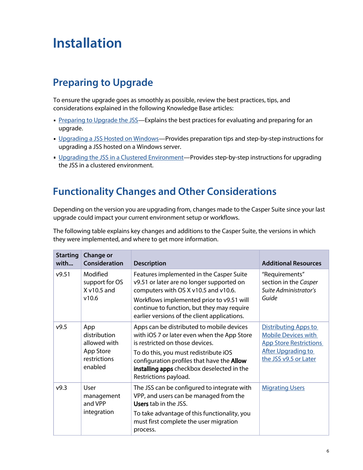# <span id="page-5-0"></span>**Installation**

### <span id="page-5-1"></span>**Preparing to Upgrade**

To ensure the upgrade goes as smoothly as possible, review the best practices, tips, and considerations explained in the following Knowledge Base articles:

- [Preparing to Upgrade the JSS](https://jamfnation.jamfsoftware.com/article.html?id=136)-Explains the best practices for evaluating and preparing for an upgrade.
- **Upgrading a JSS Hosted on Windows**—Provides preparation tips and step-by-step instructions for upgrading a JSS hosted on a Windows server.
- [Upgrading the JSS in a Clustered Environment—](https://jamfnation.jamfsoftware.com/article.html?id=212)Provides step-by-step instructions for upgrading the JSS in a clustered environment.

### <span id="page-5-3"></span><span id="page-5-2"></span>**Functionality Changes and Other Considerations**

Depending on the version you are upgrading from, changes made to the Casper Suite since your last upgrade could impact your current environment setup or workflows.

The following table explains key changes and additions to the Casper Suite, the versions in which they were implemented, and where to get more information.

| <b>Starting</b><br>with | <b>Change or</b><br><b>Consideration</b>                                    | <b>Description</b>                                                                                                                                                                                                                                                                        | <b>Additional Resources</b>                                                                                                                      |
|-------------------------|-----------------------------------------------------------------------------|-------------------------------------------------------------------------------------------------------------------------------------------------------------------------------------------------------------------------------------------------------------------------------------------|--------------------------------------------------------------------------------------------------------------------------------------------------|
| v9.51                   | Modified<br>support for OS<br>$X$ v10.5 and<br>v10.6                        | Features implemented in the Casper Suite<br>v9.51 or later are no longer supported on<br>computers with OS X v10.5 and v10.6.<br>Workflows implemented prior to v9.51 will<br>continue to function, but they may require<br>earlier versions of the client applications.                  | "Requirements"<br>section in the Casper<br>Suite Administrator's<br>Guide                                                                        |
| v9.5                    | App<br>distribution<br>allowed with<br>App Store<br>restrictions<br>enabled | Apps can be distributed to mobile devices<br>with iOS 7 or later even when the App Store<br>is restricted on those devices.<br>To do this, you must redistribute iOS<br>configuration profiles that have the Allow<br>installing apps checkbox deselected in the<br>Restrictions payload. | <b>Distributing Apps to</b><br><b>Mobile Devices with</b><br><b>App Store Restrictions</b><br><b>After Upgrading to</b><br>the JSS v9.5 or Later |
| v9.3                    | User<br>management<br>and VPP<br>integration                                | The JSS can be configured to integrate with<br>VPP, and users can be managed from the<br>Users tab in the JSS.<br>To take advantage of this functionality, you<br>must first complete the user migration<br>process.                                                                      | <b>Migrating Users</b>                                                                                                                           |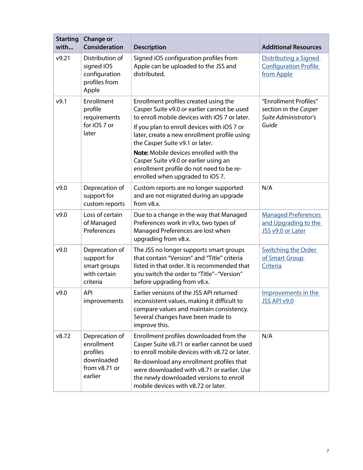| <b>Starting</b><br>with | <b>Change or</b><br>Consideration                                                  | <b>Description</b>                                                                                                                                                                                                                                                                                                                                                                                                                         | <b>Additional Resources</b>                                                      |
|-------------------------|------------------------------------------------------------------------------------|--------------------------------------------------------------------------------------------------------------------------------------------------------------------------------------------------------------------------------------------------------------------------------------------------------------------------------------------------------------------------------------------------------------------------------------------|----------------------------------------------------------------------------------|
| v9.21                   | Distribution of<br>signed iOS<br>configuration<br>profiles from<br>Apple           | Signed iOS configuration profiles from<br>Apple can be uploaded to the JSS and<br>distributed.                                                                                                                                                                                                                                                                                                                                             | Distributing a Signed<br><b>Configuration Profile</b><br>from Apple              |
| v9.1                    | Enrollment<br>profile<br>requirements<br>for iOS 7 or<br>later                     | Enrollment profiles created using the<br>Casper Suite v9.0 or earlier cannot be used<br>to enroll mobile devices with iOS 7 or later.<br>If you plan to enroll devices with iOS 7 or<br>later, create a new enrollment profile using<br>the Casper Suite v9.1 or later.<br>Note: Mobile devices enrolled with the<br>Casper Suite v9.0 or earlier using an<br>enrollment profile do not need to be re-<br>enrolled when upgraded to iOS 7. | "Enrollment Profiles"<br>section in the Casper<br>Suite Administrator's<br>Guide |
| v9.0                    | Deprecation of<br>support for<br>custom reports                                    | Custom reports are no longer supported<br>and are not migrated during an upgrade<br>from v8.x.                                                                                                                                                                                                                                                                                                                                             | N/A                                                                              |
| v9.0                    | Loss of certain<br>of Managed<br>Preferences                                       | Due to a change in the way that Managed<br>Preferences work in v9.x, two types of<br>Managed Preferences are lost when<br>upgrading from v8.x.                                                                                                                                                                                                                                                                                             | <b>Managed Preferences</b><br>and Upgrading to the<br>JSS v9.0 or Later          |
| v9.0                    | Deprecation of<br>support for<br>smart groups<br>with certain<br>criteria          | The JSS no longer supports smart groups<br>that contain "Version" and "Title" criteria<br>listed in that order. It is recommended that<br>you switch the order to "Title"-"Version"<br>before upgrading from v8.x.                                                                                                                                                                                                                         | <b>Switching the Order</b><br>of Smart Group<br>Criteria                         |
| v9.0                    | <b>API</b><br>improvements                                                         | Earlier versions of the JSS API returned<br>inconsistent values, making it difficult to<br>compare values and maintain consistency.<br>Several changes have been made to<br>improve this.                                                                                                                                                                                                                                                  | Improvements in the<br><b>JSS API v9.0</b>                                       |
| v8.72                   | Deprecation of<br>enrollment<br>profiles<br>downloaded<br>from v8.71 or<br>earlier | Enrollment profiles downloaded from the<br>Casper Suite v8.71 or earlier cannot be used<br>to enroll mobile devices with v8.72 or later.<br>Re-download any enrollment profiles that<br>were downloaded with v8.71 or earlier. Use<br>the newly downloaded versions to enroll<br>mobile devices with v8.72 or later.                                                                                                                       | N/A                                                                              |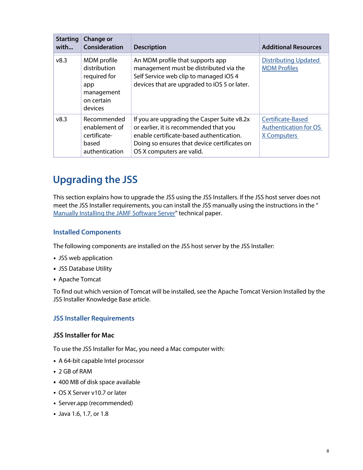| <b>Starting</b><br>with | <b>Change or</b><br>Consideration                                                         | <b>Description</b>                                                                                                                                                                                             | <b>Additional Resources</b>                                             |
|-------------------------|-------------------------------------------------------------------------------------------|----------------------------------------------------------------------------------------------------------------------------------------------------------------------------------------------------------------|-------------------------------------------------------------------------|
| v8.3                    | MDM profile<br>distribution<br>required for<br>app<br>management<br>on certain<br>devices | An MDM profile that supports app<br>management must be distributed via the<br>Self Service web clip to managed iOS 4<br>devices that are upgraded to iOS 5 or later.                                           | <b>Distributing Updated</b><br><b>MDM Profiles</b>                      |
| v8.3                    | Recommended<br>enablement of<br>certificate-<br>based<br>authentication                   | If you are upgrading the Casper Suite v8.2x<br>or earlier, it is recommended that you<br>enable certificate-based authentication.<br>Doing so ensures that device certificates on<br>OS X computers are valid. | Certificate-Based<br><b>Authentication for OS</b><br><b>X Computers</b> |

### <span id="page-7-1"></span><span id="page-7-0"></span>**Upgrading the JSS**

This section explains how to upgrade the JSS using the JSS Installers. If the JSS host server does not meet the JSS Installer requirements, you can install the JSS manually using the instructions in the " [Manually Installing the JAMF Software Server"](http://resources.jamfsoftware.com/documents/products/documentation/Manually-Installing-the-JAMF-Software-Server-v8.5-or-Later.pdf?mtime=1412016609) technical paper.

#### **Installed Components**

The following components are installed on the JSS host server by the JSS Installer:

- JSS web application
- **JSS Database Utility**
- Apache Tomcat

To find out which version of Tomcat will be installed, see the Apache Tomcat Version Installed by the JSS Installer Knowledge Base article.

#### **JSS Installer Requirements**

#### **JSS Installer for Mac**

To use the JSS Installer for Mac, you need a Mac computer with:

- A 64-bit capable Intel processor
- 2 GB of RAM
- 400 MB of disk space available
- OS X Server v10.7 or later
- Server.app (recommended)
- Java 1.6, 1.7, or 1.8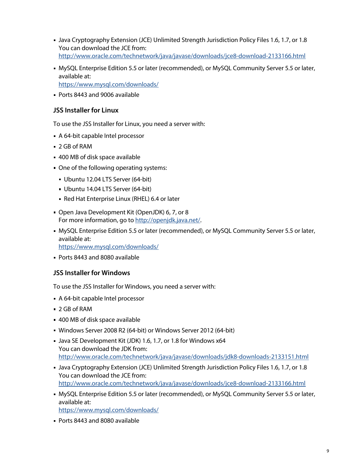- Java Cryptography Extension (JCE) Unlimited Strength Jurisdiction Policy Files 1.6, 1.7, or 1.8 You can download the JCE from: <http://www.oracle.com/technetwork/java/javase/downloads/jce8-download-2133166.html>
- MySQL Enterprise Edition 5.5 or later (recommended), or MySQL Community Server 5.5 or later, available at: <https://www.mysql.com/downloads/>
- Ports 8443 and 9006 available

#### **JSS Installer for Linux**

To use the JSS Installer for Linux, you need a server with:

- A 64-bit capable Intel processor
- 2 GB of RAM
- 400 MB of disk space available
- One of the following operating systems:
	- Ubuntu 12.04 LTS Server (64-bit)
	- Ubuntu 14.04 LTS Server (64-bit)
	- Red Hat Enterprise Linux (RHEL) 6.4 or later
- Open Java Development Kit (OpenJDK) 6, 7, or 8 For more information, go to [http://openjdk.java.net/.](http://openjdk.java.net/)
- MySQL Enterprise Edition 5.5 or later (recommended), or MySQL Community Server 5.5 or later, available at: <https://www.mysql.com/downloads/>
- Ports 8443 and 8080 available

#### **JSS Installer for Windows**

To use the JSS Installer for Windows, you need a server with:

- A 64-bit capable Intel processor
- 2 GB of RAM
- 400 MB of disk space available
- Windows Server 2008 R2 (64-bit) or Windows Server 2012 (64-bit)
- Java SE Development Kit (JDK) 1.6, 1.7, or 1.8 for Windows x64 You can download the JDK from: <http://www.oracle.com/technetwork/java/javase/downloads/jdk8-downloads-2133151.html>
- Java Cryptography Extension (JCE) Unlimited Strength Jurisdiction Policy Files 1.6, 1.7, or 1.8 You can download the JCE from: <http://www.oracle.com/technetwork/java/javase/downloads/jce8-download-2133166.html>
- MySQL Enterprise Edition 5.5 or later (recommended), or MySQL Community Server 5.5 or later, available at: <https://www.mysql.com/downloads/>
- Ports 8443 and 8080 available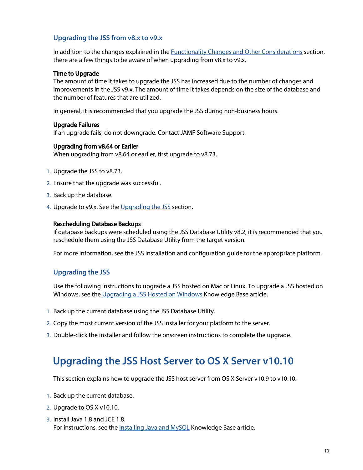#### **Upgrading the JSS from v8.x to v9.x**

In addition to the changes explained in the **Functionality Changes and Other Considerations** section, there are a few things to be aware of when upgrading from v8.x to v9.x.

#### Time to Upgrade

The amount of time it takes to upgrade the JSS has increased due to the number of changes and improvements in the JSS v9.x. The amount of time it takes depends on the size of the database and the number of features that are utilized.

In general, it is recommended that you upgrade the JSS during non-business hours.

#### Upgrade Failures

If an upgrade fails, do not downgrade. Contact JAMF Software Support.

#### Upgrading from v8.64 or Earlier

When upgrading from v8.64 or earlier, first upgrade to v8.73.

- 1. Upgrade the JSS to v8.73.
- 2. Ensure that the upgrade was successful.
- 3. Back up the database.
- 4. Upgrade to v9.x. See the <u>[Upgrading the JSS](#page-7-1)</u> section.

#### Rescheduling Database Backups

If database backups were scheduled using the JSS Database Utility v8.2, it is recommended that you reschedule them using the JSS Database Utility from the target version.

For more information, see the JSS installation and configuration guide for the appropriate platform.

#### **Upgrading the JSS**

Use the following instructions to upgrade a JSS hosted on Mac or Linux. To upgrade a JSS hosted on Windows, see the [Upgrading a JSS Hosted on Windows](https://jamfnation.jamfsoftware.com/article.html?id=387) Knowledge Base article.

- 1. Back up the current database using the JSS Database Utility.
- 2. Copy the most current version of the JSS Installer for your platform to the server.
- <span id="page-9-0"></span>3. Double-click the installer and follow the onscreen instructions to complete the upgrade.

### **Upgrading the JSS Host Server to OS X Server v10.10**

This section explains how to upgrade the JSS host server from OS X Server v10.9 to v10.10.

- 1. Back up the current database.
- 2. Upgrade to OS X v10.10.
- 3. Install Java 1.8 and JCE 1.8. For instructions, see the **Installing Java and MySQL** Knowledge Base article.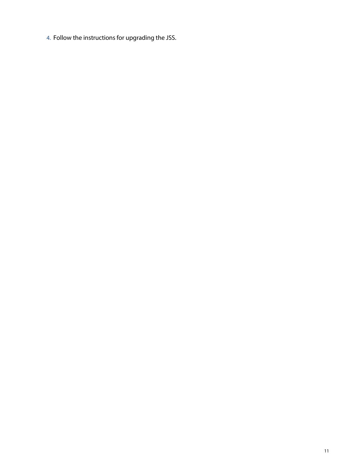4. Follow the instructions for upgrading the JSS.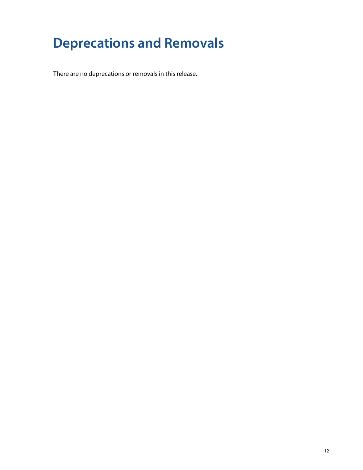# <span id="page-11-0"></span>**Deprecations and Removals**

There are no deprecations or removals in this release.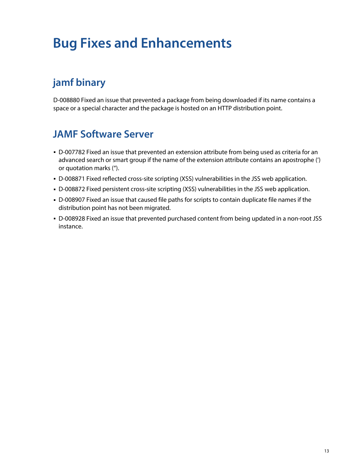# <span id="page-12-0"></span>**Bug Fixes and Enhancements**

### <span id="page-12-1"></span>**jamf binary**

D-008880 Fixed an issue that prevented a package from being downloaded if its name contains a space or a special character and the package is hosted on an HTTP distribution point.

### <span id="page-12-2"></span>**JAMF Software Server**

- D-007782 Fixed an issue that prevented an extension attribute from being used as criteria for an advanced search or smart group if the name of the extension attribute contains an apostrophe (') or quotation marks (").
- D-008871 Fixed reflected cross-site scripting (XSS) vulnerabilities in the JSS web application.
- D-008872 Fixed persistent cross-site scripting (XSS) vulnerabilities in the JSS web application.
- D-008907 Fixed an issue that caused file paths for scripts to contain duplicate file names if the distribution point has not been migrated.
- D-008928 Fixed an issue that prevented purchased content from being updated in a non-root JSS instance.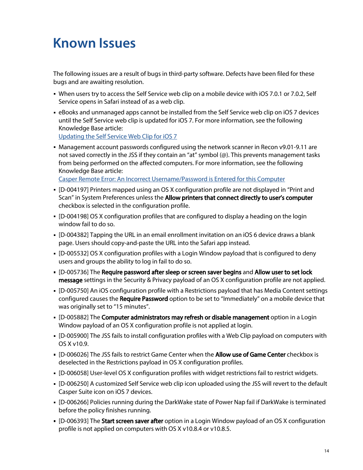# <span id="page-13-0"></span>**Known Issues**

The following issues are a result of bugs in third-party software. Defects have been filed for these bugs and are awaiting resolution.

- When users try to access the Self Service web clip on a mobile device with iOS 7.0.1 or 7.0.2, Self Service opens in Safari instead of as a web clip.
- **EX** eBooks and unmanaged apps cannot be installed from the Self Service web clip on iOS 7 devices until the Self Service web clip is updated for iOS 7. For more information, see the following Knowledge Base article: [Updating the Self Service Web Clip for iOS 7](https://jamfnation.jamfsoftware.com/article.html?id=345)
- Management account passwords configured using the network scanner in Recon v9.01-9.11 are not saved correctly in the JSS if they contain an "at" symbol (@). This prevents management tasks from being performed on the affected computers. For more information, see the following Knowledge Base article:

[Casper Remote Error: An Incorrect Username/Password is Entered for this Computer](https://jamfnation.jamfsoftware.com/article.html?id=355)

- [D-004197] Printers mapped using an OS X configuration profile are not displayed in "Print and Scan" in System Preferences unless the Allow printers that connect directly to user's computer checkbox is selected in the configuration profile.
- [D-004198] OS X configuration profiles that are configured to display a heading on the login window fail to do so.
- [D-004382] Tapping the URL in an email enrollment invitation on an iOS 6 device draws a blank page. Users should copy-and-paste the URL into the Safari app instead.
- [D-005532] OS X configuration profiles with a Login Window payload that is configured to deny users and groups the ability to log in fail to do so.
- $[D-005736]$  The Require password after sleep or screen saver begins and Allow user to set lock message settings in the Security & Privacy payload of an OS X configuration profile are not applied.
- [D-005750] An iOS configuration profile with a Restrictions payload that has Media Content settings configured causes the Require Password option to be set to "Immediately" on a mobile device that was originally set to "15 minutes".
- $[D-005882]$  The Computer administrators may refresh or disable management option in a Login Window payload of an OS X configuration profile is not applied at login.
- [D-005900] The JSS fails to install configuration profiles with a Web Clip payload on computers with OS X v10.9.
- **[D-006026] The JSS fails to restrict Game Center when the Allow use of Game Center checkbox is** deselected in the Restrictions payload in OS X configuration profiles.
- [D-006058] User-level OS X configuration profiles with widget restrictions fail to restrict widgets.
- [D-006250] A customized Self Service web clip icon uploaded using the JSS will revert to the default Casper Suite icon on iOS 7 devices.
- [D-006266] Policies running during the DarkWake state of Power Nap fail if DarkWake is terminated before the policy finishes running.
- [D-006393] The Start screen saver after option in a Login Window payload of an OS X configuration profile is not applied on computers with OS X v10.8.4 or v10.8.5.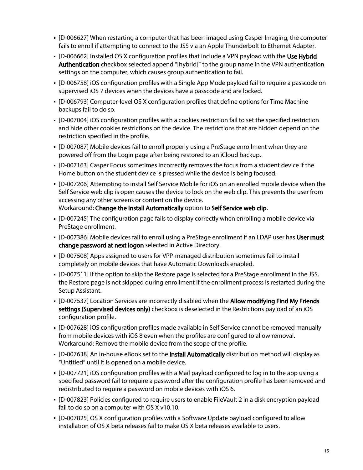- [D-006627] When restarting a computer that has been imaged using Casper Imaging, the computer fails to enroll if attempting to connect to the JSS via an Apple Thunderbolt to Ethernet Adapter.
- **[D-006662] Installed OS X configuration profiles that include a VPN payload with the Use Hybrid** Authentication checkbox selected append "[hybrid]" to the group name in the VPN authentication settings on the computer, which causes group authentication to fail.
- [D-006758] iOS configuration profiles with a Single App Mode payload fail to require a passcode on supervised iOS 7 devices when the devices have a passcode and are locked.
- [D-006793] Computer-level OS X configuration profiles that define options for Time Machine backups fail to do so.
- [D-007004] iOS configuration profiles with a cookies restriction fail to set the specified restriction and hide other cookies restrictions on the device. The restrictions that are hidden depend on the restriction specified in the profile.
- [D-007087] Mobile devices fail to enroll properly using a PreStage enrollment when they are powered off from the Login page after being restored to an iCloud backup.
- [D-007163] Casper Focus sometimes incorrectly removes the focus from a student device if the Home button on the student device is pressed while the device is being focused.
- [D-007206] Attempting to install Self Service Mobile for iOS on an enrolled mobile device when the Self Service web clip is open causes the device to lock on the web clip. This prevents the user from accessing any other screens or content on the device. Workaround: Change the Install Automatically option to Self Service web clip.
- [D-007245] The configuration page fails to display correctly when enrolling a mobile device via PreStage enrollment.
- **[D-007386] Mobile devices fail to enroll using a PreStage enrollment if an LDAP user has User must** change password at next logon selected in Active Directory.
- [D-007508] Apps assigned to users for VPP-managed distribution sometimes fail to install completely on mobile devices that have Automatic Downloads enabled.
- [D-007511] If the option to skip the Restore page is selected for a PreStage enrollment in the JSS, the Restore page is not skipped during enrollment if the enrollment process is restarted during the Setup Assistant.
- **[D-007537] Location Services are incorrectly disabled when the Allow modifying Find My Friends** settings (Supervised devices only) checkbox is deselected in the Restrictions payload of an iOS configuration profile.
- [D-007628] iOS configuration profiles made available in Self Service cannot be removed manually from mobile devices with iOS 8 even when the profiles are configured to allow removal. Workaround: Remove the mobile device from the scope of the profile.
- **[D-007638] An in-house eBook set to the Install Automatically distribution method will display as** "Untitled" until it is opened on a mobile device.
- [D-007721] iOS configuration profiles with a Mail payload configured to log in to the app using a specified password fail to require a password after the configuration profile has been removed and redistributed to require a password on mobile devices with iOS 6.
- [D-007823] Policies configured to require users to enable FileVault 2 in a disk encryption payload fail to do so on a computer with OS X v10.10.
- [D-007825] OS X configuration profiles with a Software Update payload configured to allow installation of OS X beta releases fail to make OS X beta releases available to users.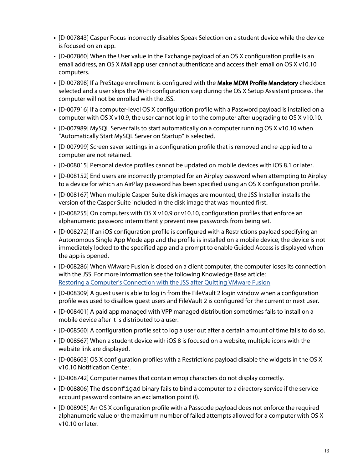- [D-007843] Casper Focus incorrectly disables Speak Selection on a student device while the device is focused on an app.
- [D-007860] When the User value in the Exchange payload of an OS X configuration profile is an email address, an OS X Mail app user cannot authenticate and access their email on OS X v10.10 computers.
- [D-007898] If a PreStage enrollment is configured with the Make MDM Profile Mandatory checkbox selected and a user skips the Wi-Fi configuration step during the OS X Setup Assistant process, the computer will not be enrolled with the JSS.
- [D-007916] If a computer-level OS X configuration profile with a Password payload is installed on a computer with OS X v10.9, the user cannot log in to the computer after upgrading to OS X v10.10.
- [D-007989] MySQL Server fails to start automatically on a computer running OS X v10.10 when "Automatically Start MySQL Server on Startup" is selected.
- [D-007999] Screen saver settings in a configuration profile that is removed and re-applied to a computer are not retained.
- [D-008015] Personal device profiles cannot be updated on mobile devices with iOS 8.1 or later.
- [D-008152] End users are incorrectly prompted for an Airplay password when attempting to Airplay to a device for which an AirPlay password has been specified using an OS X configuration profile.
- [D-008167] When multiple Casper Suite disk images are mounted, the JSS Installer installs the version of the Casper Suite included in the disk image that was mounted first.
- [D-008255] On computers with OS X v10.9 or v10.10, configuration profiles that enforce an alphanumeric password intermittently prevent new passwords from being set.
- [D-008272] If an iOS configuration profile is configured with a Restrictions payload specifying an Autonomous Single App Mode app and the profile is installed on a mobile device, the device is not immediately locked to the specified app and a prompt to enable Guided Access is displayed when the app is opened.
- [D-008286] When VMware Fusion is closed on a client computer, the computer loses its connection with the JSS. For more information see the following Knowledge Base article: [Restoring a Computer's Connection with the JSS after Quitting VMware Fusion](https://jamfnation.jamfsoftware.com/article.html?id=392)
- [D-008309] A guest user is able to log in from the FileVault 2 login window when a configuration profile was used to disallow guest users and FileVault 2 is configured for the current or next user.
- [D-008401] A paid app managed with VPP managed distribution sometimes fails to install on a mobile device after it is distributed to a user.
- [D-008560] A configuration profile set to log a user out after a certain amount of time fails to do so.
- [D-008567] When a student device with iOS 8 is focused on a website, multiple icons with the website link are displayed.
- [D-008603] OS X configuration profiles with a Restrictions payload disable the widgets in the OS X v10.10 Notification Center.
- [D-008742] Computer names that contain emoji characters do not display correctly.
- [D-008806] The dsconfigad binary fails to bind a computer to a directory service if the service account password contains an exclamation point (!).
- [D-008905] An OS X configuration profile with a Passcode payload does not enforce the required alphanumeric value or the maximum number of failed attempts allowed for a computer with OS X v10.10 or later.